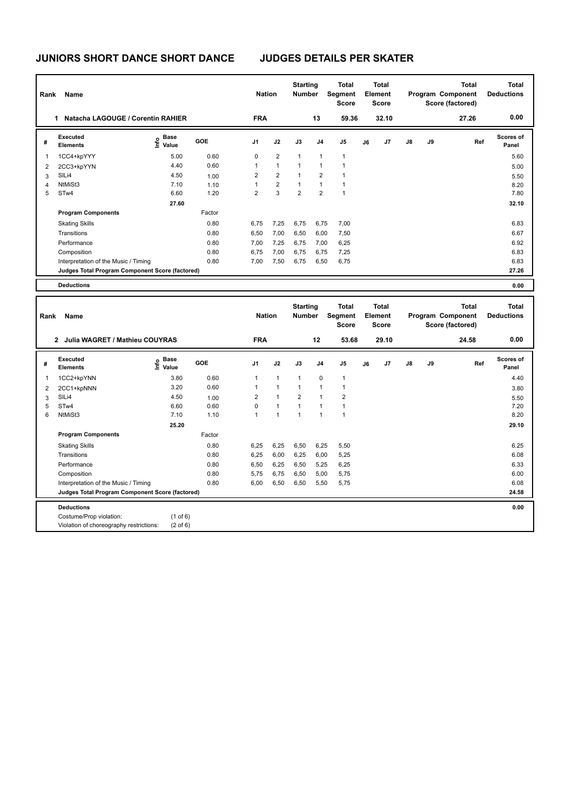| Rank | Name                                            |                                  |            | <b>Nation</b>  |                | <b>Starting</b><br><b>Number</b> |                | Total<br>Segment<br><b>Score</b> |    | Total<br>Element<br><b>Score</b> |               |    | <b>Total</b><br>Program Component<br>Score (factored) | <b>Total</b><br><b>Deductions</b> |
|------|-------------------------------------------------|----------------------------------|------------|----------------|----------------|----------------------------------|----------------|----------------------------------|----|----------------------------------|---------------|----|-------------------------------------------------------|-----------------------------------|
|      | Natacha LAGOUGE / Corentin RAHIER<br>1          |                                  |            | <b>FRA</b>     |                |                                  | 13             | 59.36                            |    | 32.10                            |               |    | 27.26                                                 | 0.00                              |
| #    | Executed<br><b>Elements</b>                     | <b>Base</b><br>o Base<br>⊆ Value | <b>GOE</b> | J <sub>1</sub> | J2             | J3                               | J <sub>4</sub> | J <sub>5</sub>                   | J6 | J <sub>7</sub>                   | $\mathsf{J}8$ | J9 | Ref                                                   | Scores of<br>Panel                |
| 1    | 1CC4+kpYYY                                      | 5.00                             | 0.60       | 0              | $\overline{2}$ | $\mathbf{1}$                     | 1              | $\mathbf{1}$                     |    |                                  |               |    |                                                       | 5.60                              |
| 2    | 2CC3+kpYYN                                      | 4.40                             | 0.60       |                | $\mathbf{1}$   | $\mathbf{1}$                     | 1              | $\mathbf{1}$                     |    |                                  |               |    |                                                       | 5.00                              |
| 3    | SILi4                                           | 4.50                             | 1.00       | $\overline{2}$ | $\overline{2}$ | $\mathbf{1}$                     | 2              | $\mathbf{1}$                     |    |                                  |               |    |                                                       | 5.50                              |
| 4    | NtMiSt3                                         | 7.10                             | 1.10       |                | $\overline{2}$ | $\mathbf{1}$                     | 1              | $\mathbf{1}$                     |    |                                  |               |    |                                                       | 8.20                              |
| 5    | STw4                                            | 6.60                             | 1.20       | $\overline{2}$ | 3              | $\overline{2}$                   | 2              | 1                                |    |                                  |               |    |                                                       | 7.80                              |
|      |                                                 | 27.60                            |            |                |                |                                  |                |                                  |    |                                  |               |    |                                                       | 32.10                             |
|      | <b>Program Components</b>                       |                                  | Factor     |                |                |                                  |                |                                  |    |                                  |               |    |                                                       |                                   |
|      | <b>Skating Skills</b>                           |                                  | 0.80       | 6,75           | 7,25           | 6,75                             | 6,75           | 7,00                             |    |                                  |               |    |                                                       | 6.83                              |
|      | Transitions                                     |                                  | 0.80       | 6,50           | 7,00           | 6,50                             | 6,00           | 7,50                             |    |                                  |               |    |                                                       | 6.67                              |
|      | Performance                                     |                                  | 0.80       | 7,00           | 7,25           | 6,75                             | 7,00           | 6,25                             |    |                                  |               |    |                                                       | 6.92                              |
|      | Composition                                     |                                  | 0.80       | 6,75           | 7,00           | 6.75                             | 6,75           | 7,25                             |    |                                  |               |    |                                                       | 6.83                              |
|      | Interpretation of the Music / Timing            |                                  | 0.80       | 7,00           | 7,50           | 6,75                             | 6,50           | 6,75                             |    |                                  |               |    |                                                       | 6.83                              |
|      | Judges Total Program Component Score (factored) |                                  |            |                |                |                                  |                |                                  |    |                                  |               |    |                                                       | 27.26                             |
|      | <b>Deductions</b>                               |                                  |            |                |                |                                  |                |                                  |    |                                  |               |    |                                                       | 0.00                              |

| Rank           | Name                                                               |                                   |            | <b>Nation</b>  |              | <b>Starting</b><br><b>Number</b> |                | <b>Total</b><br>Segment<br><b>Score</b> |    | Total<br>Element<br><b>Score</b> |               |    | <b>Total</b><br>Program Component<br>Score (factored) | <b>Total</b><br><b>Deductions</b> |
|----------------|--------------------------------------------------------------------|-----------------------------------|------------|----------------|--------------|----------------------------------|----------------|-----------------------------------------|----|----------------------------------|---------------|----|-------------------------------------------------------|-----------------------------------|
|                | Julia WAGRET / Mathieu COUYRAS<br>$\mathbf{2}$                     |                                   |            | <b>FRA</b>     |              |                                  | 12             | 53.68                                   |    | 29.10                            |               |    | 24.58                                                 | 0.00                              |
| #              | <b>Executed</b><br><b>Elements</b>                                 | e Base<br>E Value                 | <b>GOE</b> | J1             | J2           | J3                               | J <sub>4</sub> | J <sub>5</sub>                          | J6 | J7                               | $\mathsf{J}8$ | J9 | Ref                                                   | <b>Scores of</b><br>Panel         |
| 1              | 1CC2+kpYNN                                                         | 3.80                              | 0.60       | $\mathbf{1}$   | $\mathbf{1}$ | $\mathbf{1}$                     | 0              | $\mathbf{1}$                            |    |                                  |               |    |                                                       | 4.40                              |
| $\overline{2}$ | 2CC1+kpNNN                                                         | 3.20                              | 0.60       | $\overline{1}$ | $\mathbf{1}$ | $\mathbf{1}$                     | $\overline{1}$ | $\mathbf{1}$                            |    |                                  |               |    |                                                       | 3.80                              |
| 3              | SILi4                                                              | 4.50                              | 1.00       | $\overline{2}$ | $\mathbf{1}$ | $\overline{2}$                   |                | $\overline{2}$                          |    |                                  |               |    |                                                       | 5.50                              |
| 5              | STw4                                                               | 6.60                              | 0.60       | $\pmb{0}$      | $\mathbf{1}$ | $\overline{1}$                   | $\overline{1}$ | $\mathbf{1}$                            |    |                                  |               |    |                                                       | 7.20                              |
| 6              | NtMiSt3                                                            | 7.10                              | 1.10       | $\mathbf{1}$   | $\mathbf{1}$ | $\mathbf{1}$                     | $\overline{1}$ | $\mathbf{1}$                            |    |                                  |               |    |                                                       | 8.20                              |
|                |                                                                    | 25.20                             |            |                |              |                                  |                |                                         |    |                                  |               |    |                                                       | 29.10                             |
|                | <b>Program Components</b>                                          |                                   | Factor     |                |              |                                  |                |                                         |    |                                  |               |    |                                                       |                                   |
|                | <b>Skating Skills</b>                                              |                                   | 0.80       | 6,25           | 6,25         | 6,50                             | 6,25           | 5,50                                    |    |                                  |               |    |                                                       | 6.25                              |
|                | Transitions                                                        |                                   | 0.80       | 6,25           | 6,00         | 6,25                             | 6,00           | 5,25                                    |    |                                  |               |    |                                                       | 6.08                              |
|                | Performance                                                        |                                   | 0.80       | 6,50           | 6,25         | 6,50                             | 5,25           | 6,25                                    |    |                                  |               |    |                                                       | 6.33                              |
|                | Composition                                                        |                                   | 0.80       | 5,75           | 6,75         | 6,50                             | 5,00           | 5,75                                    |    |                                  |               |    |                                                       | 6.00                              |
|                | Interpretation of the Music / Timing                               |                                   | 0.80       | 6,00           | 6,50         | 6,50                             | 5,50           | 5,75                                    |    |                                  |               |    |                                                       | 6.08                              |
|                | Judges Total Program Component Score (factored)                    |                                   |            |                |              |                                  |                |                                         |    |                                  |               |    |                                                       | 24.58                             |
|                | <b>Deductions</b>                                                  |                                   |            |                |              |                                  |                |                                         |    |                                  |               |    |                                                       | 0.00                              |
|                | Costume/Prop violation:<br>Violation of choreography restrictions: | $(1$ of 6)<br>$(2 \text{ of } 6)$ |            |                |              |                                  |                |                                         |    |                                  |               |    |                                                       |                                   |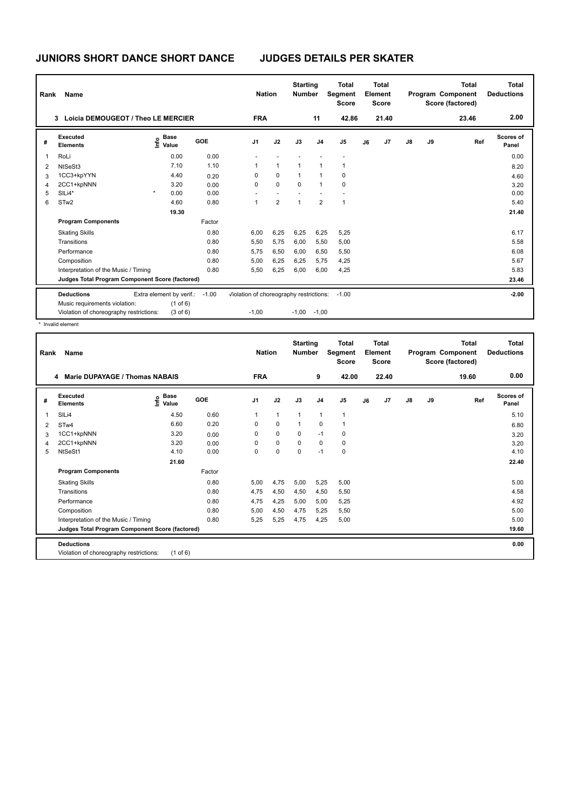| Rank | Name                                            |                           |            | <b>Nation</b>                           |                | <b>Starting</b><br><b>Number</b> |                | <b>Total</b><br>Segment<br><b>Score</b> |    | Total<br>Element<br><b>Score</b> |               |    | Total<br>Program Component<br>Score (factored) | <b>Total</b><br><b>Deductions</b> |
|------|-------------------------------------------------|---------------------------|------------|-----------------------------------------|----------------|----------------------------------|----------------|-----------------------------------------|----|----------------------------------|---------------|----|------------------------------------------------|-----------------------------------|
|      | Loicia DEMOUGEOT / Theo LE MERCIER<br>3.        |                           |            | <b>FRA</b>                              |                |                                  | 11             | 42.86                                   |    | 21.40                            |               |    | 23.46                                          | 2.00                              |
| #    | Executed<br><b>Elements</b>                     | Base<br>e Base<br>⊆ Value | <b>GOE</b> | J <sub>1</sub>                          | J2             | J3                               | J <sub>4</sub> | J <sub>5</sub>                          | J6 | J7                               | $\mathsf{J}8$ | J9 | Ref                                            | Scores of<br>Panel                |
| -1   | RoLi                                            | 0.00                      | 0.00       |                                         |                |                                  |                |                                         |    |                                  |               |    |                                                | 0.00                              |
| 2    | NtSeSt3                                         | 7.10                      | 1.10       | 1                                       | 1              | 1                                |                | 1                                       |    |                                  |               |    |                                                | 8.20                              |
| 3    | 1CC3+kpYYN                                      | 4.40                      | 0.20       | $\Omega$                                | $\mathbf 0$    | 1                                |                | 0                                       |    |                                  |               |    |                                                | 4.60                              |
| 4    | 2CC1+kpNNN                                      | 3.20                      | 0.00       | $\Omega$                                | $\Omega$       | $\Omega$                         | 1              | 0                                       |    |                                  |               |    |                                                | 3.20                              |
| 5    | SILi4*                                          | $\star$<br>0.00           | 0.00       |                                         |                |                                  |                |                                         |    |                                  |               |    |                                                | 0.00                              |
| 6    | STw <sub>2</sub>                                | 4.60                      | 0.80       | $\mathbf{1}$                            | $\overline{2}$ | $\overline{1}$                   | $\overline{2}$ | $\mathbf{1}$                            |    |                                  |               |    |                                                | 5.40                              |
|      |                                                 | 19.30                     |            |                                         |                |                                  |                |                                         |    |                                  |               |    |                                                | 21.40                             |
|      | <b>Program Components</b>                       |                           | Factor     |                                         |                |                                  |                |                                         |    |                                  |               |    |                                                |                                   |
|      | <b>Skating Skills</b>                           |                           | 0.80       | 6,00                                    | 6,25           | 6,25                             | 6,25           | 5,25                                    |    |                                  |               |    |                                                | 6.17                              |
|      | Transitions                                     |                           | 0.80       | 5,50                                    | 5,75           | 6,00                             | 5,50           | 5,00                                    |    |                                  |               |    |                                                | 5.58                              |
|      | Performance                                     |                           | 0.80       | 5,75                                    | 6,50           | 6,00                             | 6,50           | 5,50                                    |    |                                  |               |    |                                                | 6.08                              |
|      | Composition                                     |                           | 0.80       | 5,00                                    | 6,25           | 6,25                             | 5,75           | 4,25                                    |    |                                  |               |    |                                                | 5.67                              |
|      | Interpretation of the Music / Timing            |                           | 0.80       | 5,50                                    | 6,25           | 6,00                             | 6,00           | 4,25                                    |    |                                  |               |    |                                                | 5.83                              |
|      | Judges Total Program Component Score (factored) |                           |            |                                         |                |                                  |                |                                         |    |                                  |               |    |                                                | 23.46                             |
|      | <b>Deductions</b>                               | Extra element by verif.:  | $-1.00$    | Violation of choreography restrictions: |                |                                  |                | $-1.00$                                 |    |                                  |               |    |                                                | $-2.00$                           |
|      | Music requirements violation:                   | $(1$ of 6)                |            |                                         |                |                                  |                |                                         |    |                                  |               |    |                                                |                                   |
|      | Violation of choreography restrictions:         | $(3$ of $6)$              |            | $-1,00$                                 |                | $-1,00$                          | $-1,00$        |                                         |    |                                  |               |    |                                                |                                   |

\* Invalid element

| Rank           | Name                                            |                              |        | <b>Nation</b>  |             | <b>Starting</b><br><b>Number</b> |                | <b>Total</b><br>Segment<br><b>Score</b> |    | Total<br>Element<br><b>Score</b> |               |    | Total<br>Program Component<br>Score (factored) | Total<br><b>Deductions</b> |
|----------------|-------------------------------------------------|------------------------------|--------|----------------|-------------|----------------------------------|----------------|-----------------------------------------|----|----------------------------------|---------------|----|------------------------------------------------|----------------------------|
|                | <b>Marie DUPAYAGE / Thomas NABAIS</b><br>4      |                              |        | <b>FRA</b>     |             |                                  | 9              | 42.00                                   |    | 22.40                            |               |    | 19.60                                          | 0.00                       |
| #              | Executed<br><b>Elements</b>                     | <b>Base</b><br>lnfo<br>Value | GOE    | J <sub>1</sub> | J2          | J3                               | J <sub>4</sub> | J <sub>5</sub>                          | J6 | J7                               | $\mathsf{J}8$ | J9 | Ref                                            | Scores of<br>Panel         |
| $\overline{1}$ | SILi4                                           | 4.50                         | 0.60   | $\mathbf{1}$   | 1           | $\overline{1}$                   | $\mathbf{1}$   | $\overline{1}$                          |    |                                  |               |    |                                                | 5.10                       |
| $\overline{2}$ | ST <sub>w</sub> 4                               | 6.60                         | 0.20   | 0              | $\mathbf 0$ | 1                                | 0              | $\overline{1}$                          |    |                                  |               |    |                                                | 6.80                       |
| 3              | 1CC1+kpNNN                                      | 3.20                         | 0.00   | 0              | $\Omega$    | $\Omega$                         | $-1$           | 0                                       |    |                                  |               |    |                                                | 3.20                       |
| 4              | 2CC1+kpNNN                                      | 3.20                         | 0.00   | 0              | $\mathbf 0$ | $\Omega$                         | 0              | 0                                       |    |                                  |               |    |                                                | 3.20                       |
| 5              | NtSeSt1                                         | 4.10                         | 0.00   | 0              | 0           | $\mathbf 0$                      | $-1$           | $\pmb{0}$                               |    |                                  |               |    |                                                | 4.10                       |
|                |                                                 | 21.60                        |        |                |             |                                  |                |                                         |    |                                  |               |    |                                                | 22.40                      |
|                | <b>Program Components</b>                       |                              | Factor |                |             |                                  |                |                                         |    |                                  |               |    |                                                |                            |
|                | <b>Skating Skills</b>                           |                              | 0.80   | 5.00           | 4,75        | 5,00                             | 5,25           | 5,00                                    |    |                                  |               |    |                                                | 5.00                       |
|                | Transitions                                     |                              | 0.80   | 4,75           | 4,50        | 4,50                             | 4,50           | 5,50                                    |    |                                  |               |    |                                                | 4.58                       |
|                | Performance                                     |                              | 0.80   | 4.75           | 4,25        | 5,00                             | 5.00           | 5,25                                    |    |                                  |               |    |                                                | 4.92                       |
|                | Composition                                     |                              | 0.80   | 5.00           | 4,50        | 4.75                             | 5.25           | 5,50                                    |    |                                  |               |    |                                                | 5.00                       |
|                | Interpretation of the Music / Timing            |                              | 0.80   | 5,25           | 5,25        | 4,75                             | 4,25           | 5,00                                    |    |                                  |               |    |                                                | 5.00                       |
|                | Judges Total Program Component Score (factored) |                              |        |                |             |                                  |                |                                         |    |                                  |               |    |                                                | 19.60                      |
|                | <b>Deductions</b>                               |                              |        |                |             |                                  |                |                                         |    |                                  |               |    |                                                | 0.00                       |
|                | Violation of choreography restrictions:         | $(1$ of 6)                   |        |                |             |                                  |                |                                         |    |                                  |               |    |                                                |                            |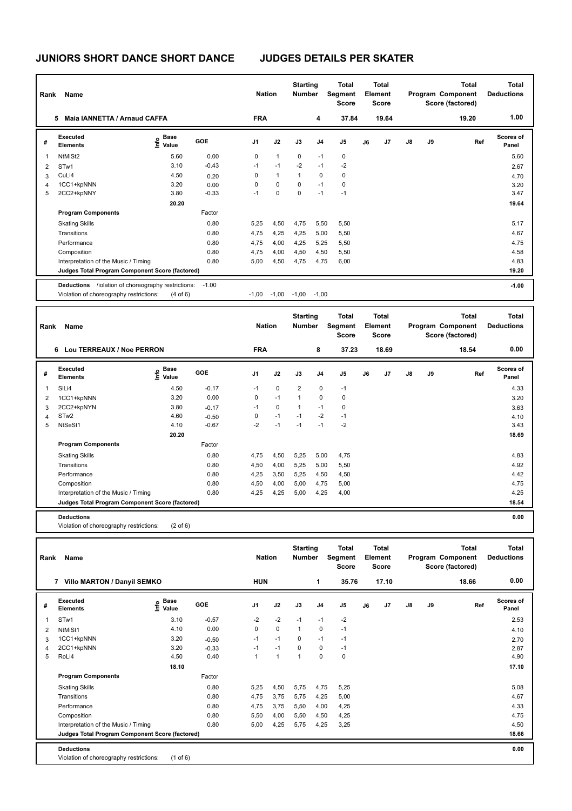| Rank                     | <b>Name</b>                                                  |                                  |         | <b>Nation</b> |              | <b>Starting</b><br><b>Number</b> |                | <b>Total</b><br>Segment<br><b>Score</b> |    | Total<br>Element<br><b>Score</b> |               |    | <b>Total</b><br>Program Component<br>Score (factored) | <b>Total</b><br><b>Deductions</b> |
|--------------------------|--------------------------------------------------------------|----------------------------------|---------|---------------|--------------|----------------------------------|----------------|-----------------------------------------|----|----------------------------------|---------------|----|-------------------------------------------------------|-----------------------------------|
|                          | <b>Maia IANNETTA / Arnaud CAFFA</b><br>5                     |                                  |         | <b>FRA</b>    |              |                                  | 4              | 37.84                                   |    | 19.64                            |               |    | 19.20                                                 | 1.00                              |
| #                        | Executed<br><b>Elements</b>                                  | <b>Base</b><br>e Base<br>⊆ Value | GOE     | J1            | J2           | J3                               | J <sub>4</sub> | J <sub>5</sub>                          | J6 | J <sub>7</sub>                   | $\mathsf{J}8$ | J9 | Ref                                                   | Scores of<br>Panel                |
| $\overline{\phantom{a}}$ | NtMiSt2                                                      | 5.60                             | 0.00    | 0             | $\mathbf{1}$ | $\mathbf 0$                      | $-1$           | $\mathbf 0$                             |    |                                  |               |    |                                                       | 5.60                              |
| $\overline{2}$           | STw1                                                         | 3.10                             | $-0.43$ | $-1$          | $-1$         | $-2$                             | $-1$           | $-2$                                    |    |                                  |               |    |                                                       | 2.67                              |
| 3                        | CuLi4                                                        | 4.50                             | 0.20    | 0             | $\mathbf{1}$ | 1                                | $\Omega$       | 0                                       |    |                                  |               |    |                                                       | 4.70                              |
| $\overline{4}$           | 1CC1+kpNNN                                                   | 3.20                             | 0.00    | 0             | 0            | $\Omega$                         | $-1$           | 0                                       |    |                                  |               |    |                                                       | 3.20                              |
| 5                        | 2CC2+kpNNY                                                   | 3.80                             | $-0.33$ | $-1$          | 0            | $\Omega$                         | $-1$           | $-1$                                    |    |                                  |               |    |                                                       | 3.47                              |
|                          |                                                              | 20.20                            |         |               |              |                                  |                |                                         |    |                                  |               |    |                                                       | 19.64                             |
|                          | <b>Program Components</b>                                    |                                  | Factor  |               |              |                                  |                |                                         |    |                                  |               |    |                                                       |                                   |
|                          | <b>Skating Skills</b>                                        |                                  | 0.80    | 5,25          | 4,50         | 4,75                             | 5,50           | 5,50                                    |    |                                  |               |    |                                                       | 5.17                              |
|                          | Transitions                                                  |                                  | 0.80    | 4,75          | 4,25         | 4,25                             | 5,00           | 5,50                                    |    |                                  |               |    |                                                       | 4.67                              |
|                          | Performance                                                  |                                  | 0.80    | 4,75          | 4,00         | 4,25                             | 5,25           | 5,50                                    |    |                                  |               |    |                                                       | 4.75                              |
|                          | Composition                                                  |                                  | 0.80    | 4,75          | 4,00         | 4,50                             | 4,50           | 5,50                                    |    |                                  |               |    |                                                       | 4.58                              |
|                          | Interpretation of the Music / Timing                         |                                  | 0.80    | 5,00          | 4,50         | 4,75                             | 4,75           | 6,00                                    |    |                                  |               |    |                                                       | 4.83                              |
|                          | Judges Total Program Component Score (factored)              |                                  |         |               |              |                                  |                |                                         |    |                                  |               |    |                                                       | 19.20                             |
|                          | <b>Deductions</b><br>liolation of choreography restrictions: |                                  | $-1.00$ |               |              |                                  |                |                                         |    |                                  |               |    |                                                       | $-1.00$                           |
|                          | Violation of choreography restrictions:                      | $(4 \text{ of } 6)$              |         | $-1,00$       | $-1,00$      | $-1,00$                          | $-1,00$        |                                         |    |                                  |               |    |                                                       |                                   |

| Rank | Name                                            |                     |            | <b>Nation</b> |             | <b>Starting</b><br>Number |          | Total<br>Segment<br><b>Score</b> |    | Total<br>Element<br><b>Score</b> |               |    | <b>Total</b><br>Program Component<br>Score (factored) | <b>Total</b><br><b>Deductions</b> |
|------|-------------------------------------------------|---------------------|------------|---------------|-------------|---------------------------|----------|----------------------------------|----|----------------------------------|---------------|----|-------------------------------------------------------|-----------------------------------|
|      | Lou TERREAUX / Noe PERRON<br>6                  |                     |            | <b>FRA</b>    |             |                           | 8        | 37.23                            |    | 18.69                            |               |    | 18.54                                                 | 0.00                              |
| #    | <b>Executed</b><br><b>Elements</b>              | Base<br>١π<br>Value | <b>GOE</b> | J1            | J2          | J3                        | J4       | J5                               | J6 | J7                               | $\mathsf{J}8$ | J9 | Ref                                                   | <b>Scores of</b><br>Panel         |
| 1    | SILi4                                           | 4.50                | $-0.17$    | $-1$          | $\mathbf 0$ | 2                         | 0        | $-1$                             |    |                                  |               |    |                                                       | 4.33                              |
| 2    | 1CC1+kpNNN                                      | 3.20                | 0.00       | 0             | $-1$        | 1                         | $\Omega$ | $\mathbf 0$                      |    |                                  |               |    |                                                       | 3.20                              |
| 3    | 2CC2+kpNYN                                      | 3.80                | $-0.17$    | $-1$          | $\mathbf 0$ | 1                         | $-1$     | $\mathbf 0$                      |    |                                  |               |    |                                                       | 3.63                              |
| 4    | STw <sub>2</sub>                                | 4.60                | $-0.50$    | 0             | $-1$        | $-1$                      | $-2$     | $-1$                             |    |                                  |               |    |                                                       | 4.10                              |
| 5    | NtSeSt1                                         | 4.10                | $-0.67$    | $-2$          | $-1$        | $-1$                      | $-1$     | $-2$                             |    |                                  |               |    |                                                       | 3.43                              |
|      |                                                 | 20.20               |            |               |             |                           |          |                                  |    |                                  |               |    |                                                       | 18.69                             |
|      | <b>Program Components</b>                       |                     | Factor     |               |             |                           |          |                                  |    |                                  |               |    |                                                       |                                   |
|      | <b>Skating Skills</b>                           |                     | 0.80       | 4,75          | 4,50        | 5,25                      | 5,00     | 4,75                             |    |                                  |               |    |                                                       | 4.83                              |
|      | Transitions                                     |                     | 0.80       | 4,50          | 4,00        | 5,25                      | 5,00     | 5,50                             |    |                                  |               |    |                                                       | 4.92                              |
|      | Performance                                     |                     | 0.80       | 4,25          | 3,50        | 5,25                      | 4,50     | 4,50                             |    |                                  |               |    |                                                       | 4.42                              |
|      | Composition                                     |                     | 0.80       | 4,50          | 4,00        | 5,00                      | 4,75     | 5,00                             |    |                                  |               |    |                                                       | 4.75                              |
|      | Interpretation of the Music / Timing            |                     | 0.80       | 4,25          | 4,25        | 5,00                      | 4,25     | 4,00                             |    |                                  |               |    |                                                       | 4.25                              |
|      | Judges Total Program Component Score (factored) |                     |            |               |             |                           |          |                                  |    |                                  |               |    |                                                       | 18.54                             |
|      |                                                 |                     |            |               |             |                           |          |                                  |    |                                  |               |    |                                                       |                                   |

**Deductions 0.00** Violation of choreography restrictions: (2 of 6)

| Rank           | Name                                            |                                                          |         | <b>Nation</b> |              | <b>Starting</b><br><b>Number</b> |                | Total<br>Segment<br><b>Score</b> |    | <b>Total</b><br>Element<br><b>Score</b> |               |    | <b>Total</b><br>Program Component<br>Score (factored) | Total<br><b>Deductions</b> |
|----------------|-------------------------------------------------|----------------------------------------------------------|---------|---------------|--------------|----------------------------------|----------------|----------------------------------|----|-----------------------------------------|---------------|----|-------------------------------------------------------|----------------------------|
|                | <b>Villo MARTON / Danyil SEMKO</b><br>7         |                                                          |         | <b>HUN</b>    |              |                                  | 1              | 35.76                            |    | 17.10                                   |               |    | 18.66                                                 | 0.00                       |
| #              | Executed<br><b>Elements</b>                     | <b>Base</b><br>$\mathop{\mathsf{Irr}}\nolimits$<br>Value | GOE     | J1            | J2           | J3                               | J <sub>4</sub> | J <sub>5</sub>                   | J6 | J7                                      | $\mathsf{J}8$ | J9 | Ref                                                   | <b>Scores of</b><br>Panel  |
|                | STw1                                            | 3.10                                                     | $-0.57$ | $-2$          | $-2$         | $-1$                             | $-1$           | $-2$                             |    |                                         |               |    |                                                       | 2.53                       |
| $\overline{2}$ | NtMiSt1                                         | 4.10                                                     | 0.00    | 0             | 0            | $\mathbf{1}$                     | 0              | $-1$                             |    |                                         |               |    |                                                       | 4.10                       |
| 3              | 1CC1+kpNNN                                      | 3.20                                                     | $-0.50$ | $-1$          | $-1$         | $\mathbf 0$                      | $-1$           | $-1$                             |    |                                         |               |    |                                                       | 2.70                       |
| 4              | 2CC1+kpNNN                                      | 3.20                                                     | $-0.33$ | $-1$          | $-1$         | $\Omega$                         | $\Omega$       | $-1$                             |    |                                         |               |    |                                                       | 2.87                       |
| 5              | RoLi4                                           | 4.50                                                     | 0.40    | 1             | $\mathbf{1}$ | $\mathbf{1}$                     | 0              | 0                                |    |                                         |               |    |                                                       | 4.90                       |
|                |                                                 | 18.10                                                    |         |               |              |                                  |                |                                  |    |                                         |               |    |                                                       | 17.10                      |
|                | <b>Program Components</b>                       |                                                          | Factor  |               |              |                                  |                |                                  |    |                                         |               |    |                                                       |                            |
|                | <b>Skating Skills</b>                           |                                                          | 0.80    | 5,25          | 4,50         | 5,75                             | 4,75           | 5,25                             |    |                                         |               |    |                                                       | 5.08                       |
|                | Transitions                                     |                                                          | 0.80    | 4,75          | 3,75         | 5,75                             | 4,25           | 5,00                             |    |                                         |               |    |                                                       | 4.67                       |
|                | Performance                                     |                                                          | 0.80    | 4,75          | 3,75         | 5,50                             | 4,00           | 4,25                             |    |                                         |               |    |                                                       | 4.33                       |
|                | Composition                                     |                                                          | 0.80    | 5,50          | 4,00         | 5,50                             | 4,50           | 4,25                             |    |                                         |               |    |                                                       | 4.75                       |
|                | Interpretation of the Music / Timing            |                                                          | 0.80    | 5,00          | 4,25         | 5,75                             | 4,25           | 3,25                             |    |                                         |               |    |                                                       | 4.50                       |
|                | Judges Total Program Component Score (factored) |                                                          |         |               |              |                                  |                |                                  |    |                                         |               |    |                                                       | 18.66                      |
|                | <b>Deductions</b>                               |                                                          |         |               |              |                                  |                |                                  |    |                                         |               |    |                                                       | 0.00                       |
|                | Violation of choreography restrictions:         | $(1 \text{ of } 6)$                                      |         |               |              |                                  |                |                                  |    |                                         |               |    |                                                       |                            |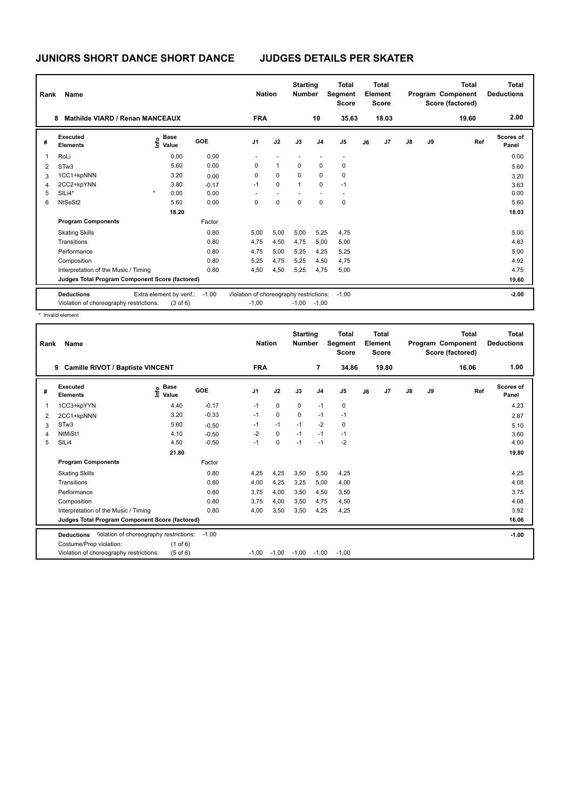| Rank | Name                                            |                                  |         | <b>Nation</b>                           |              | <b>Starting</b><br><b>Number</b> |                | <b>Total</b><br>Segment<br><b>Score</b> |    | <b>Total</b><br>Element<br><b>Score</b> |               |    | <b>Total</b><br>Program Component<br>Score (factored) | Total<br><b>Deductions</b> |
|------|-------------------------------------------------|----------------------------------|---------|-----------------------------------------|--------------|----------------------------------|----------------|-----------------------------------------|----|-----------------------------------------|---------------|----|-------------------------------------------------------|----------------------------|
|      | <b>Mathilde VIARD / Renan MANCEAUX</b><br>8     |                                  |         | <b>FRA</b>                              |              |                                  | 10             | 35.63                                   |    | 18.03                                   |               |    | 19.60                                                 | 2.00                       |
| #    | Executed<br><b>Elements</b>                     | <b>Base</b><br>e Base<br>⊆ Value | GOE     | J <sub>1</sub>                          | J2           | J3                               | J <sub>4</sub> | J <sub>5</sub>                          | J6 | J <sub>7</sub>                          | $\mathsf{J}8$ | J9 | Ref                                                   | Scores of<br>Panel         |
|      | RoLi                                            | 0.00                             | 0.00    |                                         |              |                                  |                | $\overline{\phantom{a}}$                |    |                                         |               |    |                                                       | 0.00                       |
| 2    | ST <sub>w</sub> 3                               | 5.60                             | 0.00    | 0                                       | $\mathbf{1}$ | $\Omega$                         | 0              | 0                                       |    |                                         |               |    |                                                       | 5.60                       |
| 3    | 1CC1+kpNNN                                      | 3.20                             | 0.00    | 0                                       | $\mathbf 0$  | $\Omega$                         | 0              | $\mathbf 0$                             |    |                                         |               |    |                                                       | 3.20                       |
| 4    | 2CC2+kpYNN                                      | 3.80                             | $-0.17$ | $-1$                                    | $\mathbf 0$  | $\mathbf{1}$                     | 0              | $-1$                                    |    |                                         |               |    |                                                       | 3.63                       |
| 5    | SILi4*                                          | $\star$<br>0.00                  | 0.00    |                                         |              |                                  |                |                                         |    |                                         |               |    |                                                       | 0.00                       |
| 6    | NtSeSt2                                         | 5.60                             | 0.00    | 0                                       | $\Omega$     | $\Omega$                         | $\Omega$       | $\mathbf 0$                             |    |                                         |               |    |                                                       | 5.60                       |
|      |                                                 | 18.20                            |         |                                         |              |                                  |                |                                         |    |                                         |               |    |                                                       | 18.03                      |
|      | <b>Program Components</b>                       |                                  | Factor  |                                         |              |                                  |                |                                         |    |                                         |               |    |                                                       |                            |
|      | <b>Skating Skills</b>                           |                                  | 0.80    | 5,00                                    | 5,00         | 5,00                             | 5,25           | 4.75                                    |    |                                         |               |    |                                                       | 5.00                       |
|      | Transitions                                     |                                  | 0.80    | 4,75                                    | 4,50         | 4,75                             | 5,00           | 5,00                                    |    |                                         |               |    |                                                       | 4.83                       |
|      | Performance                                     |                                  | 0.80    | 4,75                                    | 5,00         | 5,25                             | 4,25           | 5,25                                    |    |                                         |               |    |                                                       | 5.00                       |
|      | Composition                                     |                                  | 0.80    | 5,25                                    | 4,75         | 5,25                             | 4,50           | 4,75                                    |    |                                         |               |    |                                                       | 4.92                       |
|      | Interpretation of the Music / Timing            |                                  | 0.80    | 4,50                                    | 4,50         | 5,25                             | 4,75           | 5,00                                    |    |                                         |               |    |                                                       | 4.75                       |
|      | Judges Total Program Component Score (factored) |                                  |         |                                         |              |                                  |                |                                         |    |                                         |               |    |                                                       | 19.60                      |
|      | <b>Deductions</b>                               | Extra element by verif.:         | $-1.00$ | Violation of choreography restrictions: |              |                                  |                | $-1.00$                                 |    |                                         |               |    |                                                       | $-2.00$                    |
|      | Violation of choreography restrictions:         | $(3$ of $6)$                     |         | $-1,00$                                 |              |                                  | $-1,00 -1,00$  |                                         |    |                                         |               |    |                                                       |                            |

\* Invalid element

| Rank | Name                                                         |                                  |         | <b>Nation</b>  |             | <b>Starting</b><br><b>Number</b> |                | <b>Total</b><br>Segment<br><b>Score</b> |    | <b>Total</b><br>Element<br><b>Score</b> |               |    | <b>Total</b><br>Program Component<br>Score (factored) | Total<br><b>Deductions</b> |
|------|--------------------------------------------------------------|----------------------------------|---------|----------------|-------------|----------------------------------|----------------|-----------------------------------------|----|-----------------------------------------|---------------|----|-------------------------------------------------------|----------------------------|
|      | Camille RIVOT / Baptiste VINCENT<br>9                        |                                  |         | <b>FRA</b>     |             |                                  | $\overline{7}$ | 34.86                                   |    | 19.80                                   |               |    | 16.06                                                 | 1.00                       |
| #    | Executed<br><b>Elements</b>                                  | <b>Base</b><br>e Base<br>E Value | GOE     | J <sub>1</sub> | J2          | J3                               | J <sub>4</sub> | J <sub>5</sub>                          | J6 | J <sub>7</sub>                          | $\mathsf{J}8$ | J9 | Ref                                                   | Scores of<br>Panel         |
| 1    | 1CC3+kpYYN                                                   | 4.40                             | $-0.17$ | $-1$           | 0           | 0                                | $-1$           | 0                                       |    |                                         |               |    |                                                       | 4.23                       |
| 2    | 2CC1+kpNNN                                                   | 3.20                             | $-0.33$ | $-1$           | 0           | $\Omega$                         | $-1$           | $-1$                                    |    |                                         |               |    |                                                       | 2.87                       |
| 3    | STw <sub>3</sub>                                             | 5.60                             | $-0.50$ | $-1$           | $-1$        | $-1$                             | $-2$           | 0                                       |    |                                         |               |    |                                                       | 5.10                       |
| 4    | NtMiSt1                                                      | 4.10                             | $-0.50$ | $-2$           | $\mathbf 0$ | $-1$                             | $-1$           | $-1$                                    |    |                                         |               |    |                                                       | 3.60                       |
| 5    | SILi4                                                        | 4.50                             | $-0.50$ | $-1$           | $\mathbf 0$ | $-1$                             | $-1$           | $-2$                                    |    |                                         |               |    |                                                       | 4.00                       |
|      |                                                              | 21.80                            |         |                |             |                                  |                |                                         |    |                                         |               |    |                                                       | 19.80                      |
|      | <b>Program Components</b>                                    |                                  | Factor  |                |             |                                  |                |                                         |    |                                         |               |    |                                                       |                            |
|      | <b>Skating Skills</b>                                        |                                  | 0.80    | 4.25           | 4,25        | 3,50                             | 5,50           | 4,25                                    |    |                                         |               |    |                                                       | 4.25                       |
|      | Transitions                                                  |                                  | 0.80    | 4,00           | 4,25        | 3,25                             | 5,00           | 4,00                                    |    |                                         |               |    |                                                       | 4.08                       |
|      | Performance                                                  |                                  | 0.80    | 3.75           | 4,00        | 3,50                             | 4,50           | 3,50                                    |    |                                         |               |    |                                                       | 3.75                       |
|      | Composition                                                  |                                  | 0.80    | 3.75           | 4,00        | 3.50                             | 4.75           | 4,50                                    |    |                                         |               |    |                                                       | 4.08                       |
|      | Interpretation of the Music / Timing                         |                                  | 0.80    | 4.00           | 3,50        | 3.50                             | 4,25           | 4,25                                    |    |                                         |               |    |                                                       | 3.92                       |
|      | Judges Total Program Component Score (factored)              |                                  |         |                |             |                                  |                |                                         |    |                                         |               |    |                                                       | 16.06                      |
|      | liolation of choreography restrictions:<br><b>Deductions</b> |                                  | $-1.00$ |                |             |                                  |                |                                         |    |                                         |               |    |                                                       | $-1.00$                    |
|      | Costume/Prop violation:                                      | $(1$ of 6)                       |         |                |             |                                  |                |                                         |    |                                         |               |    |                                                       |                            |
|      | Violation of choreography restrictions:                      | $(5$ of $6)$                     |         | $-1.00$        | $-1,00$     | $-1,00$                          | $-1,00$        | $-1.00$                                 |    |                                         |               |    |                                                       |                            |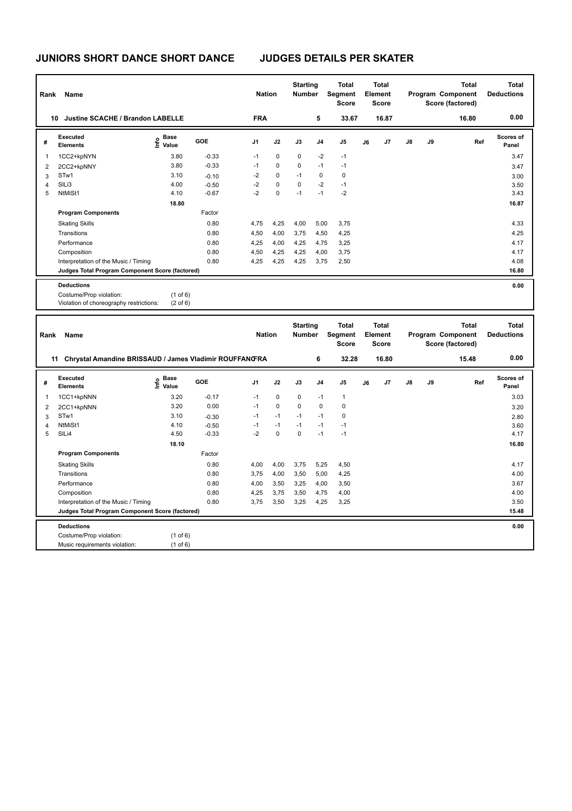| Rank | Name                                                               |                                     |         | <b>Nation</b> |             | <b>Starting</b><br><b>Number</b> |                | <b>Total</b><br>Segment<br><b>Score</b> |    | <b>Total</b><br>Element<br><b>Score</b> |               |    | <b>Total</b><br>Program Component<br>Score (factored) | <b>Total</b><br><b>Deductions</b> |
|------|--------------------------------------------------------------------|-------------------------------------|---------|---------------|-------------|----------------------------------|----------------|-----------------------------------------|----|-----------------------------------------|---------------|----|-------------------------------------------------------|-----------------------------------|
| 10   | <b>Justine SCACHE / Brandon LABELLE</b>                            |                                     |         | <b>FRA</b>    |             |                                  | 5              | 33.67                                   |    | 16.87                                   |               |    | 16.80                                                 | 0.00                              |
| #    | Executed<br><b>Elements</b>                                        | <b>Base</b><br>e Base<br>⊆ Value    | GOE     | J1            | J2          | J3                               | J <sub>4</sub> | J <sub>5</sub>                          | J6 | J7                                      | $\mathsf{J}8$ | J9 | Ref                                                   | <b>Scores of</b><br>Panel         |
| -1   | 1CC2+kpNYN                                                         | 3.80                                | $-0.33$ | $-1$          | 0           | $\Omega$                         | $-2$           | $-1$                                    |    |                                         |               |    |                                                       | 3.47                              |
| 2    | 2CC2+kpNNY                                                         | 3.80                                | $-0.33$ | $-1$          | 0           | $\Omega$                         | $-1$           | $-1$                                    |    |                                         |               |    |                                                       | 3.47                              |
| 3    | STw1                                                               | 3.10                                | $-0.10$ | $-2$          | 0           | $-1$                             | $\mathbf 0$    | 0                                       |    |                                         |               |    |                                                       | 3.00                              |
| 4    | SILi3                                                              | 4.00                                | $-0.50$ | $-2$          | $\mathbf 0$ | $\Omega$                         | $-2$           | $-1$                                    |    |                                         |               |    |                                                       | 3.50                              |
| 5    | NtMiSt1                                                            | 4.10                                | $-0.67$ | $-2$          | 0           | $-1$                             | $-1$           | $-2$                                    |    |                                         |               |    |                                                       | 3.43                              |
|      |                                                                    | 18.80                               |         |               |             |                                  |                |                                         |    |                                         |               |    |                                                       | 16.87                             |
|      | <b>Program Components</b>                                          |                                     | Factor  |               |             |                                  |                |                                         |    |                                         |               |    |                                                       |                                   |
|      | <b>Skating Skills</b>                                              |                                     | 0.80    | 4,75          | 4,25        | 4,00                             | 5,00           | 3,75                                    |    |                                         |               |    |                                                       | 4.33                              |
|      | Transitions                                                        |                                     | 0.80    | 4,50          | 4,00        | 3,75                             | 4,50           | 4,25                                    |    |                                         |               |    |                                                       | 4.25                              |
|      | Performance                                                        |                                     | 0.80    | 4,25          | 4,00        | 4,25                             | 4,75           | 3,25                                    |    |                                         |               |    |                                                       | 4.17                              |
|      | Composition                                                        |                                     | 0.80    | 4,50          | 4,25        | 4,25                             | 4,00           | 3,75                                    |    |                                         |               |    |                                                       | 4.17                              |
|      | Interpretation of the Music / Timing                               |                                     | 0.80    | 4,25          | 4,25        | 4,25                             | 3,75           | 2,50                                    |    |                                         |               |    |                                                       | 4.08                              |
|      | Judges Total Program Component Score (factored)                    |                                     |         |               |             |                                  |                |                                         |    |                                         |               |    |                                                       | 16.80                             |
|      | <b>Deductions</b>                                                  |                                     |         |               |             |                                  |                |                                         |    |                                         |               |    |                                                       | 0.00                              |
|      | Costume/Prop violation:<br>Violation of choreography restrictions: | $(1$ of $6)$<br>$(2 \text{ of } 6)$ |         |               |             |                                  |                |                                         |    |                                         |               |    |                                                       |                                   |

| Rank | Name                                                   |                              |         | <b>Nation</b>  |             | <b>Starting</b><br><b>Number</b> |                | <b>Total</b><br>Segment<br><b>Score</b> |    | Total<br>Element<br><b>Score</b> |               |    | Total<br>Program Component<br>Score (factored) | Total<br><b>Deductions</b> |
|------|--------------------------------------------------------|------------------------------|---------|----------------|-------------|----------------------------------|----------------|-----------------------------------------|----|----------------------------------|---------------|----|------------------------------------------------|----------------------------|
| 11   | Chrystal Amandine BRISSAUD / James Vladimir ROUFFANGRA |                              |         |                |             |                                  | 6              | 32.28                                   |    | 16.80                            |               |    | 15.48                                          | 0.00                       |
| #    | <b>Executed</b><br><b>Elements</b>                     | <b>Base</b><br>١πfo<br>Value | GOE     | J <sub>1</sub> | J2          | J3                               | J <sub>4</sub> | J <sub>5</sub>                          | J6 | J <sub>7</sub>                   | $\mathsf{J}8$ | J9 | Ref                                            | <b>Scores of</b><br>Panel  |
| 1    | 1CC1+kpNNN                                             | 3.20                         | $-0.17$ | $-1$           | $\mathbf 0$ | $\Omega$                         | $-1$           | $\overline{1}$                          |    |                                  |               |    |                                                | 3.03                       |
| 2    | 2CC1+kpNNN                                             | 3.20                         | 0.00    | $-1$           | $\Omega$    | $\Omega$                         | $\Omega$       | $\mathbf 0$                             |    |                                  |               |    |                                                | 3.20                       |
| 3    | STw1                                                   | 3.10                         | $-0.30$ | $-1$           | $-1$        | $-1$                             | $-1$           | 0                                       |    |                                  |               |    |                                                | 2.80                       |
| 4    | NtMiSt1                                                | 4.10                         | $-0.50$ | $-1$           | $-1$        | $-1$                             | $-1$           | $-1$                                    |    |                                  |               |    |                                                | 3.60                       |
| 5    | SILi4                                                  | 4.50                         | $-0.33$ | $-2$           | $\mathbf 0$ | $\Omega$                         | $-1$           | $-1$                                    |    |                                  |               |    |                                                | 4.17                       |
|      |                                                        | 18.10                        |         |                |             |                                  |                |                                         |    |                                  |               |    |                                                | 16.80                      |
|      | <b>Program Components</b>                              |                              | Factor  |                |             |                                  |                |                                         |    |                                  |               |    |                                                |                            |
|      | <b>Skating Skills</b>                                  |                              | 0.80    | 4,00           | 4,00        | 3,75                             | 5,25           | 4,50                                    |    |                                  |               |    |                                                | 4.17                       |
|      | Transitions                                            |                              | 0.80    | 3.75           | 4,00        | 3,50                             | 5,00           | 4,25                                    |    |                                  |               |    |                                                | 4.00                       |
|      | Performance                                            |                              | 0.80    | 4.00           | 3,50        | 3,25                             | 4,00           | 3,50                                    |    |                                  |               |    |                                                | 3.67                       |
|      | Composition                                            |                              | 0.80    | 4.25           | 3.75        | 3.50                             | 4,75           | 4,00                                    |    |                                  |               |    |                                                | 4.00                       |
|      | Interpretation of the Music / Timing                   |                              | 0.80    | 3.75           | 3,50        | 3,25                             | 4,25           | 3,25                                    |    |                                  |               |    |                                                | 3.50                       |
|      | Judges Total Program Component Score (factored)        |                              |         |                |             |                                  |                |                                         |    |                                  |               |    |                                                | 15.48                      |
|      | <b>Deductions</b>                                      |                              |         |                |             |                                  |                |                                         |    |                                  |               |    |                                                | 0.00                       |
|      | Costume/Prop violation:                                | $(1$ of 6)                   |         |                |             |                                  |                |                                         |    |                                  |               |    |                                                |                            |
|      | Music requirements violation:                          | $(1$ of 6)                   |         |                |             |                                  |                |                                         |    |                                  |               |    |                                                |                            |